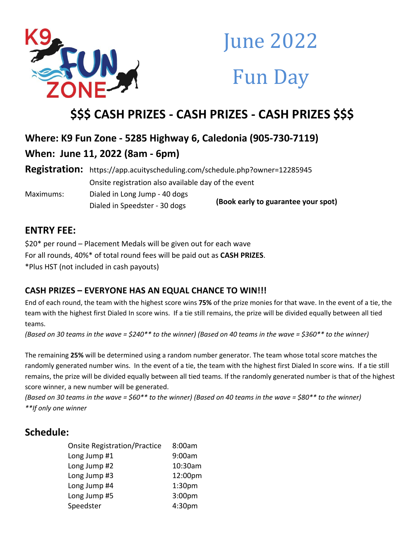

# **June 2022 Fun Day**

## **\$\$\$ CASH PRIZES - CASH PRIZES - CASH PRIZES \$\$\$**

## **Where: K9 Fun Zone - 5285 Highway 6, Caledonia (905-730-7119)**

**When: June 11, 2022 (8am - 6pm)**

**Registration:** https://app.acuityscheduling.com/schedule.php?owner=12285945 Onsite registration also available day of the event Maximums: Dialed in Long Jump - 40 dogs Dialed in Speedster - 30 dogs **(Book early to guarantee your spot)**

## **ENTRY FEE:**

\$20\* per round – Placement Medals will be given out for each wave For all rounds, 40%\* of total round fees will be paid out as **CASH PRIZES**. \*Plus HST (not included in cash payouts)

#### **CASH PRIZES – EVERYONE HAS AN EQUAL CHANCE TO WIN!!!**

End of each round, the team with the highest score wins **75%** of the prize monies for that wave. In the event of a tie, the team with the highest first Dialed In score wins. If a tie still remains, the prize will be divided equally between all tied teams.

*(Based on 30 teams in the wave = \$240\*\* to the winner) (Based on 40 teams in the wave = \$360\*\* to the winner)*

The remaining **25%** will be determined using a random number generator. The team whose total score matches the randomly generated number wins. In the event of a tie, the team with the highest first Dialed In score wins. If a tie still remains, the prize will be divided equally between all tied teams. If the randomly generated number is that of the highest score winner, a new number will be generated.

*(Based on 30 teams in the wave = \$60\*\* to the winner) (Based on 40 teams in the wave = \$80\*\* to the winner) \*\*If only one winner*

### **Schedule:**

| <b>Onsite Registration/Practice</b> | 8:00am             |
|-------------------------------------|--------------------|
| Long Jump #1                        | 9:00am             |
| Long Jump #2                        | 10:30am            |
| Long Jump #3                        | 12:00pm            |
| Long Jump #4                        | 1:30 <sub>pm</sub> |
| Long Jump #5                        | 3:00 <sub>pm</sub> |
| Speedster                           | 4:30pm             |